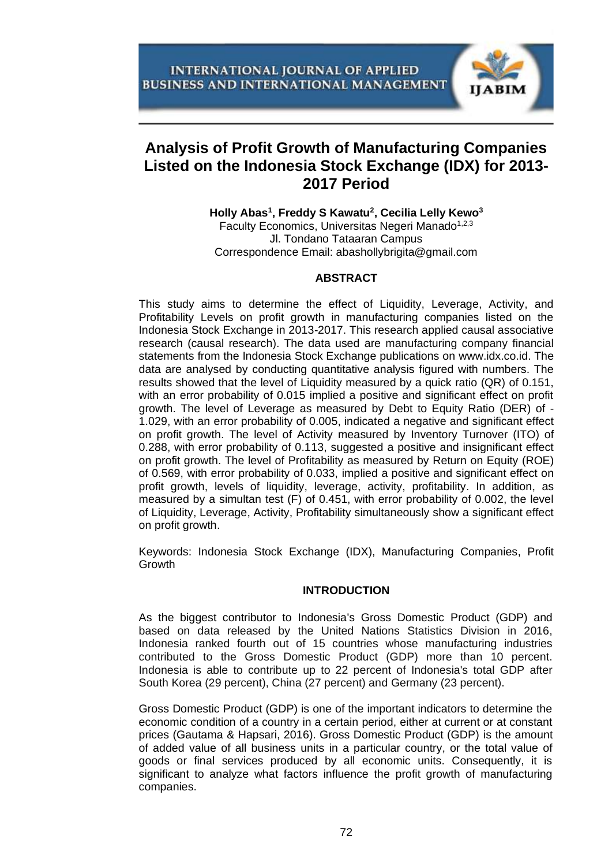

# **Analysis of Profit Growth of Manufacturing Companies Listed on the Indonesia Stock Exchange (IDX) for 2013- 2017 Period**

**Holly Abas<sup>1</sup> , Freddy S Kawatu<sup>2</sup> , Cecilia Lelly Kewo<sup>3</sup>** Faculty Economics, Universitas Negeri Manado<sup>1,2,3</sup> Jl. Tondano Tataaran Campus Correspondence Email: [abashollybrigita@gmail.com](mailto:abashollybrigita@gmail.com)

#### **ABSTRACT**

This study aims to determine the effect of Liquidity, Leverage, Activity, and Profitability Levels on profit growth in manufacturing companies listed on the Indonesia Stock Exchange in 2013-2017. This research applied causal associative research (causal research). The data used are manufacturing company financial statements from the Indonesia Stock Exchange publications on www.idx.co.id. The data are analysed by conducting quantitative analysis figured with numbers. The results showed that the level of Liquidity measured by a quick ratio (QR) of 0.151, with an error probability of 0.015 implied a positive and significant effect on profit growth. The level of Leverage as measured by Debt to Equity Ratio (DER) of - 1.029, with an error probability of 0.005, indicated a negative and significant effect on profit growth. The level of Activity measured by Inventory Turnover (ITO) of 0.288, with error probability of 0.113, suggested a positive and insignificant effect on profit growth. The level of Profitability as measured by Return on Equity (ROE) of 0.569, with error probability of 0.033, implied a positive and significant effect on profit growth, levels of liquidity, leverage, activity, profitability. In addition, as measured by a simultan test (F) of 0.451, with error probability of 0.002, the level of Liquidity, Leverage, Activity, Profitability simultaneously show a significant effect on profit growth.

Keywords: Indonesia Stock Exchange (IDX), Manufacturing Companies, Profit **Growth** 

## **INTRODUCTION**

As the biggest contributor to Indonesia's Gross Domestic Product (GDP) and based on data released by the United Nations Statistics Division in 2016, Indonesia ranked fourth out of 15 countries whose manufacturing industries contributed to the Gross Domestic Product (GDP) more than 10 percent. Indonesia is able to contribute up to 22 percent of Indonesia's total GDP after South Korea (29 percent), China (27 percent) and Germany (23 percent).

Gross Domestic Product (GDP) is one of the important indicators to determine the economic condition of a country in a certain period, either at current or at constant prices (Gautama & Hapsari, 2016). Gross Domestic Product (GDP) is the amount of added value of all business units in a particular country, or the total value of goods or final services produced by all economic units. Consequently, it is significant to analyze what factors influence the profit growth of manufacturing companies.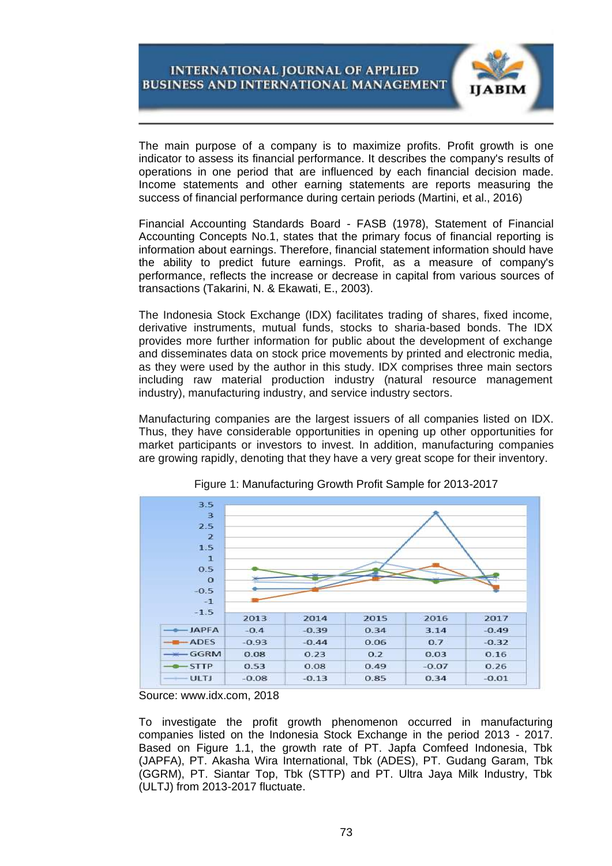

The main purpose of a company is to maximize profits. Profit growth is one indicator to assess its financial performance. It describes the company's results of operations in one period that are influenced by each financial decision made. Income statements and other earning statements are reports measuring the success of financial performance during certain periods (Martini, et al., 2016)

Financial Accounting Standards Board - FASB (1978), Statement of Financial Accounting Concepts No.1, states that the primary focus of financial reporting is information about earnings. Therefore, financial statement information should have the ability to predict future earnings. Profit, as a measure of company's performance, reflects the increase or decrease in capital from various sources of transactions (Takarini, N. & Ekawati, E., 2003).

The Indonesia Stock Exchange (IDX) facilitates trading of shares, fixed income, derivative instruments, mutual funds, stocks to sharia-based bonds. The IDX provides more further information for public about the development of exchange and disseminates data on stock price movements by printed and electronic media, as they were used by the author in this study. IDX comprises three main sectors including raw material production industry (natural resource management industry), manufacturing industry, and service industry sectors.

Manufacturing companies are the largest issuers of all companies listed on IDX. Thus, they have considerable opportunities in opening up other opportunities for market participants or investors to invest. In addition, manufacturing companies are growing rapidly, denoting that they have a very great scope for their inventory.



Figure 1: Manufacturing Growth Profit Sample for 2013-2017

To investigate the profit growth phenomenon occurred in manufacturing companies listed on the Indonesia Stock Exchange in the period 2013 - 2017. Based on Figure 1.1, the growth rate of PT. Japfa Comfeed Indonesia, Tbk (JAPFA), PT. Akasha Wira International, Tbk (ADES), PT. Gudang Garam, Tbk (GGRM), PT. Siantar Top, Tbk (STTP) and PT. Ultra Jaya Milk Industry, Tbk (ULTJ) from 2013-2017 fluctuate.

Source: www.idx.com, 2018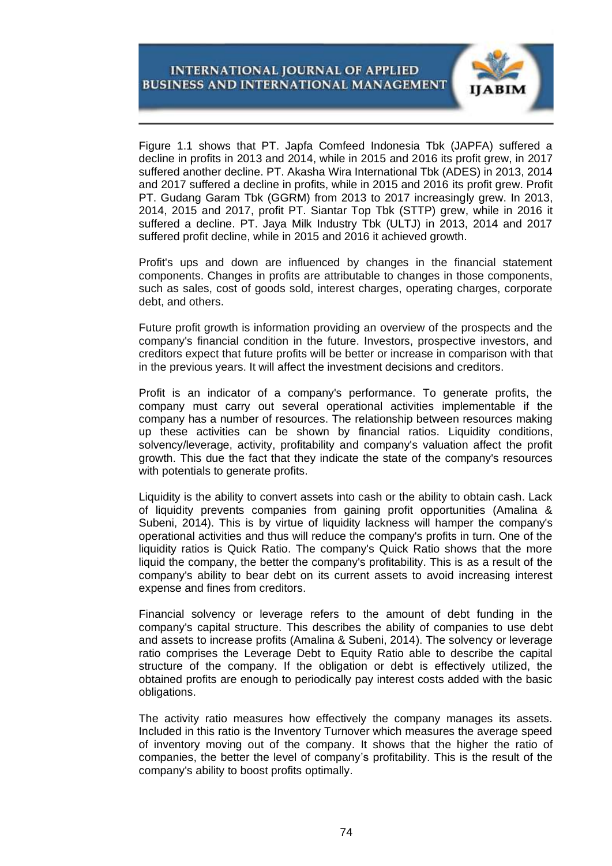

Figure 1.1 shows that PT. Japfa Comfeed Indonesia Tbk (JAPFA) suffered a decline in profits in 2013 and 2014, while in 2015 and 2016 its profit grew, in 2017 suffered another decline. PT. Akasha Wira International Tbk (ADES) in 2013, 2014 and 2017 suffered a decline in profits, while in 2015 and 2016 its profit grew. Profit PT. Gudang Garam Tbk (GGRM) from 2013 to 2017 increasingly grew. In 2013, 2014, 2015 and 2017, profit PT. Siantar Top Tbk (STTP) grew, while in 2016 it suffered a decline. PT. Jaya Milk Industry Tbk (ULTJ) in 2013, 2014 and 2017 suffered profit decline, while in 2015 and 2016 it achieved growth.

Profit's ups and down are influenced by changes in the financial statement components. Changes in profits are attributable to changes in those components, such as sales, cost of goods sold, interest charges, operating charges, corporate debt, and others.

Future profit growth is information providing an overview of the prospects and the company's financial condition in the future. Investors, prospective investors, and creditors expect that future profits will be better or increase in comparison with that in the previous years. It will affect the investment decisions and creditors.

Profit is an indicator of a company's performance. To generate profits, the company must carry out several operational activities implementable if the company has a number of resources. The relationship between resources making up these activities can be shown by financial ratios. Liquidity conditions, solvency/leverage, activity, profitability and company's valuation affect the profit growth. This due the fact that they indicate the state of the company's resources with potentials to generate profits.

Liquidity is the ability to convert assets into cash or the ability to obtain cash. Lack of liquidity prevents companies from gaining profit opportunities (Amalina & Subeni, 2014). This is by virtue of liquidity lackness will hamper the company's operational activities and thus will reduce the company's profits in turn. One of the liquidity ratios is Quick Ratio. The company's Quick Ratio shows that the more liquid the company, the better the company's profitability. This is as a result of the company's ability to bear debt on its current assets to avoid increasing interest expense and fines from creditors.

Financial solvency or leverage refers to the amount of debt funding in the company's capital structure. This describes the ability of companies to use debt and assets to increase profits (Amalina & Subeni, 2014). The solvency or leverage ratio comprises the Leverage Debt to Equity Ratio able to describe the capital structure of the company. If the obligation or debt is effectively utilized, the obtained profits are enough to periodically pay interest costs added with the basic obligations.

The activity ratio measures how effectively the company manages its assets. Included in this ratio is the Inventory Turnover which measures the average speed of inventory moving out of the company. It shows that the higher the ratio of companies, the better the level of company's profitability. This is the result of the company's ability to boost profits optimally.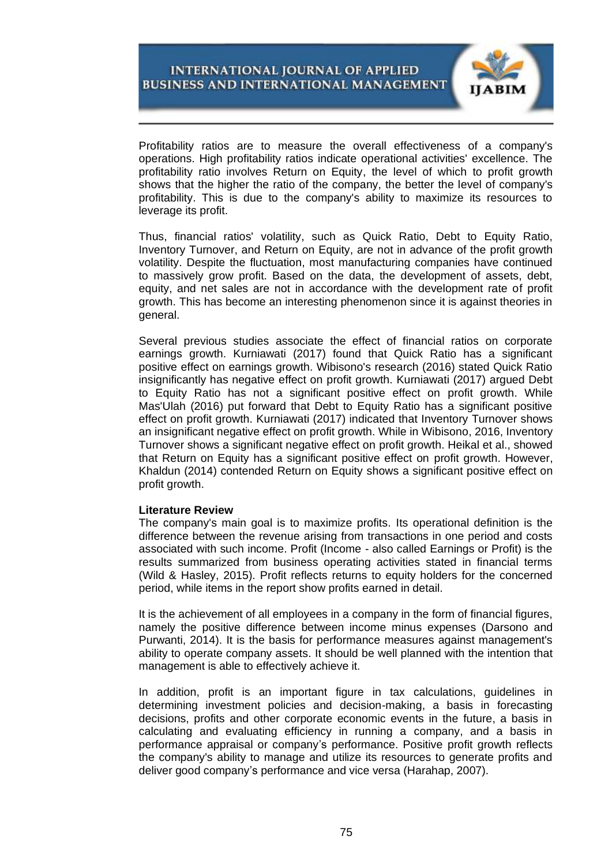

Profitability ratios are to measure the overall effectiveness of a company's operations. High profitability ratios indicate operational activities' excellence. The profitability ratio involves Return on Equity, the level of which to profit growth shows that the higher the ratio of the company, the better the level of company's profitability. This is due to the company's ability to maximize its resources to leverage its profit.

Thus, financial ratios' volatility, such as Quick Ratio, Debt to Equity Ratio, Inventory Turnover, and Return on Equity, are not in advance of the profit growth volatility. Despite the fluctuation, most manufacturing companies have continued to massively grow profit. Based on the data, the development of assets, debt, equity, and net sales are not in accordance with the development rate of profit growth. This has become an interesting phenomenon since it is against theories in general.

Several previous studies associate the effect of financial ratios on corporate earnings growth. Kurniawati (2017) found that Quick Ratio has a significant positive effect on earnings growth. Wibisono's research (2016) stated Quick Ratio insignificantly has negative effect on profit growth. Kurniawati (2017) argued Debt to Equity Ratio has not a significant positive effect on profit growth. While Mas'Ulah (2016) put forward that Debt to Equity Ratio has a significant positive effect on profit growth. Kurniawati (2017) indicated that Inventory Turnover shows an insignificant negative effect on profit growth. While in Wibisono, 2016, Inventory Turnover shows a significant negative effect on profit growth. Heikal et al., showed that Return on Equity has a significant positive effect on profit growth. However, Khaldun (2014) contended Return on Equity shows a significant positive effect on profit growth.

#### **Literature Review**

The company's main goal is to maximize profits. Its operational definition is the difference between the revenue arising from transactions in one period and costs associated with such income. Profit (Income - also called Earnings or Profit) is the results summarized from business operating activities stated in financial terms (Wild & Hasley, 2015). Profit reflects returns to equity holders for the concerned period, while items in the report show profits earned in detail.

It is the achievement of all employees in a company in the form of financial figures, namely the positive difference between income minus expenses (Darsono and Purwanti, 2014). It is the basis for performance measures against management's ability to operate company assets. It should be well planned with the intention that management is able to effectively achieve it.

In addition, profit is an important figure in tax calculations, guidelines in determining investment policies and decision-making, a basis in forecasting decisions, profits and other corporate economic events in the future, a basis in calculating and evaluating efficiency in running a company, and a basis in performance appraisal or company's performance. Positive profit growth reflects the company's ability to manage and utilize its resources to generate profits and deliver good company's performance and vice versa (Harahap, 2007).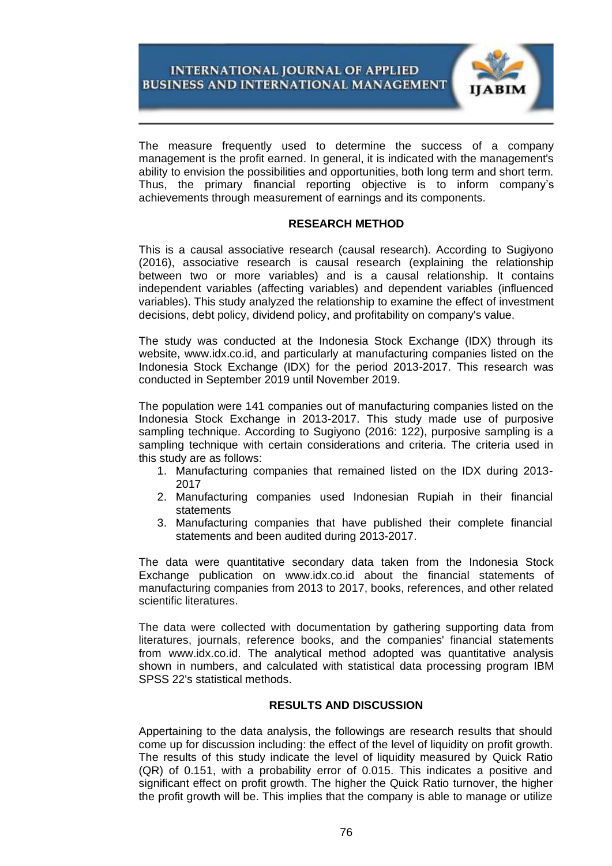

The measure frequently used to determine the success of a company management is the profit earned. In general, it is indicated with the management's ability to envision the possibilities and opportunities, both long term and short term. Thus, the primary financial reporting objective is to inform company's achievements through measurement of earnings and its components.

# **RESEARCH METHOD**

This is a causal associative research (causal research). According to Sugiyono (2016), associative research is causal research (explaining the relationship between two or more variables) and is a causal relationship. It contains independent variables (affecting variables) and dependent variables (influenced variables). This study analyzed the relationship to examine the effect of investment decisions, debt policy, dividend policy, and profitability on company's value.

The study was conducted at the Indonesia Stock Exchange (IDX) through its website, [www.idx.co.id, a](http://www.idx.co.id/)nd particularly at manufacturing companies listed on the Indonesia Stock Exchange (IDX) for the period 2013-2017. This research was conducted in September 2019 until November 2019.

The population were 141 companies out of manufacturing companies listed on the Indonesia Stock Exchange in 2013-2017. This study made use of purposive sampling technique. According to Sugiyono (2016: 122), purposive sampling is a sampling technique with certain considerations and criteria. The criteria used in this study are as follows:

- 1. Manufacturing companies that remained listed on the IDX during 2013- 2017
- 2. Manufacturing companies used Indonesian Rupiah in their financial statements
- 3. Manufacturing companies that have published their complete financial statements and been audited during 2013-2017.

The data were quantitative secondary data taken from the Indonesia Stock Exchange publication on www.idx.co.id about the financial statements of manufacturing companies from 2013 to 2017, books, references, and other related scientific literatures.

The data were collected with documentation by gathering supporting data from literatures, journals, reference books, and the companies' financial statements from www.idx.co.id. The analytical method adopted was quantitative analysis shown in numbers, and calculated with statistical data processing program IBM SPSS 22's statistical methods.

## **RESULTS AND DISCUSSION**

Appertaining to the data analysis, the followings are research results that should come up for discussion including: the effect of the level of liquidity on profit growth. The results of this study indicate the level of liquidity measured by Quick Ratio (QR) of 0.151, with a probability error of 0.015. This indicates a positive and significant effect on profit growth. The higher the Quick Ratio turnover, the higher the profit growth will be. This implies that the company is able to manage or utilize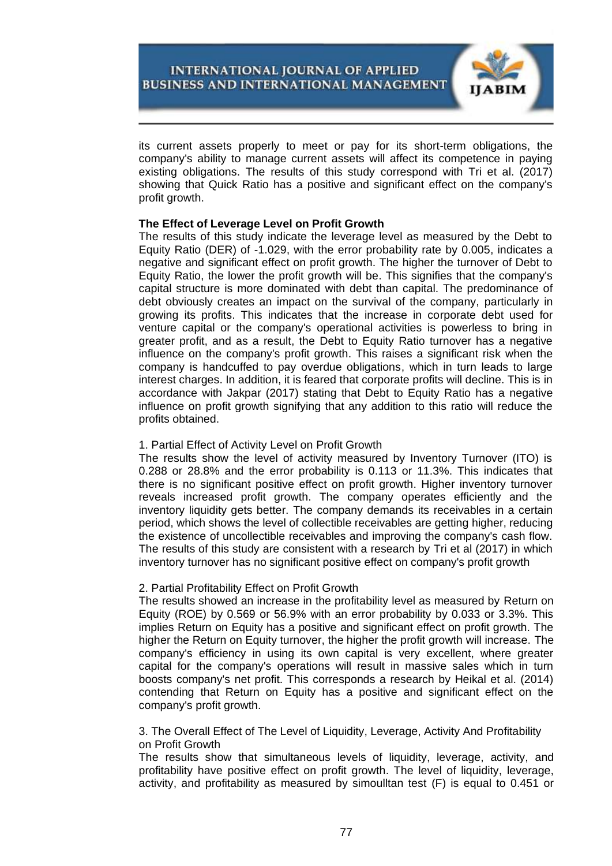

its current assets properly to meet or pay for its short-term obligations, the company's ability to manage current assets will affect its competence in paying existing obligations. The results of this study correspond with Tri et al. (2017) showing that Quick Ratio has a positive and significant effect on the company's profit growth.

## **The Effect of Leverage Level on Profit Growth**

The results of this study indicate the leverage level as measured by the Debt to Equity Ratio (DER) of -1.029, with the error probability rate by 0.005, indicates a negative and significant effect on profit growth. The higher the turnover of Debt to Equity Ratio, the lower the profit growth will be. This signifies that the company's capital structure is more dominated with debt than capital. The predominance of debt obviously creates an impact on the survival of the company, particularly in growing its profits. This indicates that the increase in corporate debt used for venture capital or the company's operational activities is powerless to bring in greater profit, and as a result, the Debt to Equity Ratio turnover has a negative influence on the company's profit growth. This raises a significant risk when the company is handcuffed to pay overdue obligations, which in turn leads to large interest charges. In addition, it is feared that corporate profits will decline. This is in accordance with Jakpar (2017) stating that Debt to Equity Ratio has a negative influence on profit growth signifying that any addition to this ratio will reduce the profits obtained.

## 1. Partial Effect of Activity Level on Profit Growth

The results show the level of activity measured by Inventory Turnover (ITO) is 0.288 or 28.8% and the error probability is 0.113 or 11.3%. This indicates that there is no significant positive effect on profit growth. Higher inventory turnover reveals increased profit growth. The company operates efficiently and the inventory liquidity gets better. The company demands its receivables in a certain period, which shows the level of collectible receivables are getting higher, reducing the existence of uncollectible receivables and improving the company's cash flow. The results of this study are consistent with a research by Tri et al (2017) in which inventory turnover has no significant positive effect on company's profit growth

## 2. Partial Profitability Effect on Profit Growth

The results showed an increase in the profitability level as measured by Return on Equity (ROE) by 0.569 or 56.9% with an error probability by 0.033 or 3.3%. This implies Return on Equity has a positive and significant effect on profit growth. The higher the Return on Equity turnover, the higher the profit growth will increase. The company's efficiency in using its own capital is very excellent, where greater capital for the company's operations will result in massive sales which in turn boosts company's net profit. This corresponds a research by Heikal et al. (2014) contending that Return on Equity has a positive and significant effect on the company's profit growth.

#### 3. The Overall Effect of The Level of Liquidity, Leverage, Activity And Profitability on Profit Growth

The results show that simultaneous levels of liquidity, leverage, activity, and profitability have positive effect on profit growth. The level of liquidity, leverage, activity, and profitability as measured by simoulltan test (F) is equal to 0.451 or